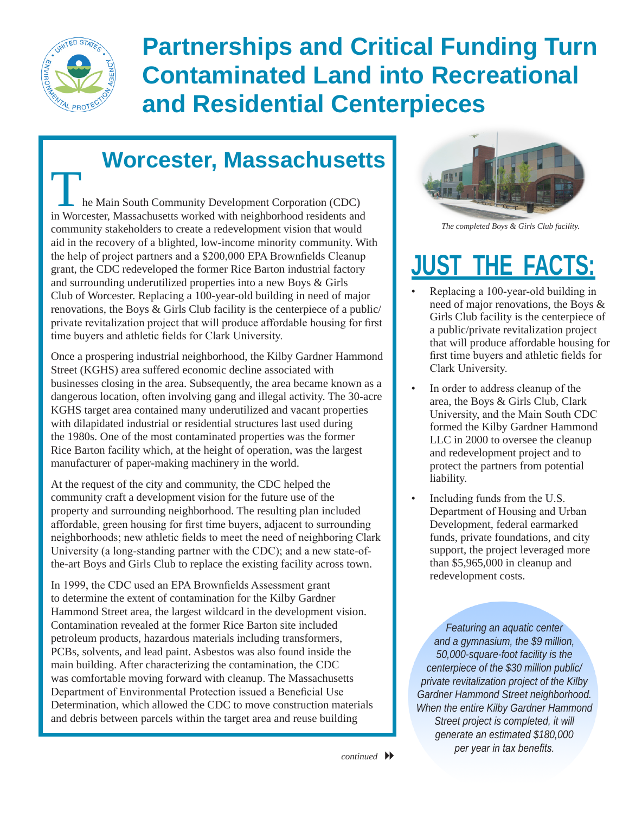

## **Partnerships and Critical Funding Turn Contaminated Land into Recreational and Residential Centerpieces**

## **Worcester, Massachusetts**

he Main South Community Development Corporation (CDC) in Worcester, Massachusetts worked with neighborhood residents and community stakeholders to create a redevelopment vision that would aid in the recovery of a blighted, low-income minority community. With the help of project partners and a \$200,000 EPA Brownfields Cleanup grant, the CDC redeveloped the former Rice Barton industrial factory and surrounding underutilized properties into a new Boys & Girls Club of Worcester. Replacing a 100-year-old building in need of major renovations, the Boys & Girls Club facility is the centerpiece of a public/ private revitalization project that will produce affordable housing for first time buyers and athletic fields for Clark University.

Once a prospering industrial neighborhood, the Kilby Gardner Hammond Street (KGHS) area suffered economic decline associated with businesses closing in the area. Subsequently, the area became known as a dangerous location, often involving gang and illegal activity. The 30-acre KGHS target area contained many underutilized and vacant properties with dilapidated industrial or residential structures last used during the 1980s. One of the most contaminated properties was the former Rice Barton facility which, at the height of operation, was the largest manufacturer of paper-making machinery in the world.

At the request of the city and community, the CDC helped the community craft a development vision for the future use of the property and surrounding neighborhood. The resulting plan included affordable, green housing for first time buyers, adjacent to surrounding neighborhoods; new athletic fields to meet the need of neighboring Clark University (a long-standing partner with the CDC); and a new state-ofthe-art Boys and Girls Club to replace the existing facility across town.

In 1999, the CDC used an EPA Brownfields Assessment grant to determine the extent of contamination for the Kilby Gardner Hammond Street area, the largest wildcard in the development vision. Contamination revealed at the former Rice Barton site included petroleum products, hazardous materials including transformers, PCBs, solvents, and lead paint. Asbestos was also found inside the main building. After characterizing the contamination, the CDC was comfortable moving forward with cleanup. The Massachusetts Department of Environmental Protection issued a Beneficial Use Determination, which allowed the CDC to move construction materials and debris between parcels within the target area and reuse building



*The completed Boys & Girls Club facility.*

## **JUST THE FACTS:**

- Replacing a 100-year-old building in need of major renovations, the Boys & Girls Club facility is the centerpiece of a public/private revitalization project that will produce affordable housing for first time buyers and athletic fields for Clark University.
- In order to address cleanup of the area, the Boys & Girls Club, Clark University, and the Main South CDC formed the Kilby Gardner Hammond LLC in 2000 to oversee the cleanup and redevelopment project and to protect the partners from potential liability.
- Including funds from the U.S. Department of Housing and Urban Development, federal earmarked funds, private foundations, and city support, the project leveraged more than \$5,965,000 in cleanup and redevelopment costs.

*Featuring an aquatic center and a gymnasium, the \$9 million, 50,000-square-foot facility is the centerpiece of the \$30 million public/ private revitalization project of the Kilby Gardner Hammond Street neighborhood. When the entire Kilby Gardner Hammond Street project is completed, it will generate an estimated \$180,000 per year in tax benefits.*